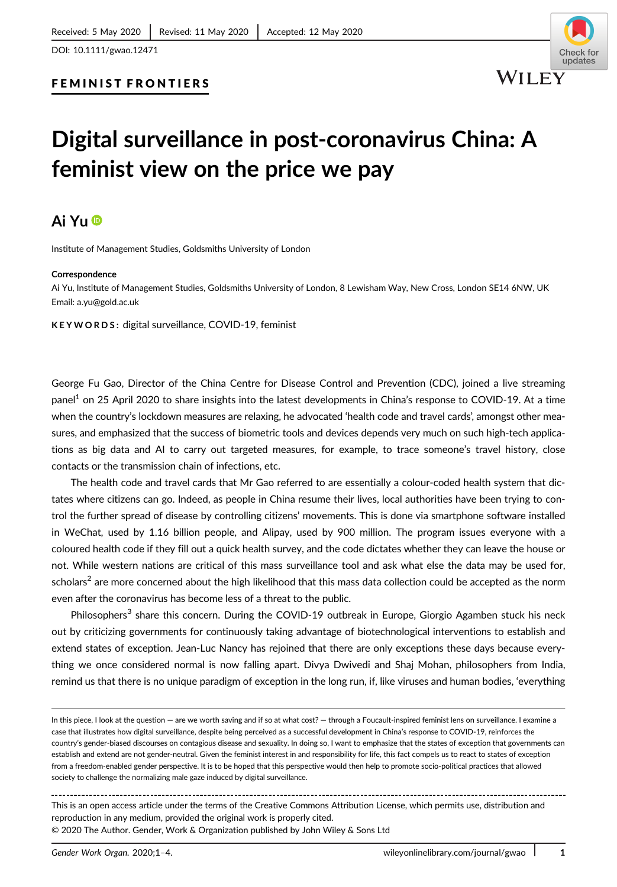#### FEMINIST FRONTIERS

# **Digital surveillance in post-coronavirus China: A feminist view on the price we pay**

## **Ai Yu**

Institute of Management Studies, Goldsmiths University of London

#### **Correspondence**

Ai Yu, Institute of Management Studies, Goldsmiths University of London, 8 Lewisham Way, New Cross, London SE14 6NW, UK Email: a.yu@gold.ac.uk

**KEYWORDS:** digital surveillance, COVID-19, feminist

George Fu Gao, Director of the China Centre for Disease Control and Prevention (CDC), joined a live streaming panel<sup>1</sup> on 25 April 2020 to share insights into the latest developments in China's response to COVID-19. At a time when the country's lockdown measures are relaxing, he advocated 'health code and travel cards', amongst other measures, and emphasized that the success of biometric tools and devices depends very much on such high-tech applications as big data and AI to carry out targeted measures, for example, to trace someone's travel history, close contacts or the transmission chain of infections, etc.

The health code and travel cards that Mr Gao referred to are essentially a colour-coded health system that dictates where citizens can go. Indeed, as people in China resume their lives, local authorities have been trying to control the further spread of disease by controlling citizens' movements. This is done via smartphone software installed in WeChat, used by 1.16 billion people, and Alipay, used by 900 million. The program issues everyone with a coloured health code if they fill out a quick health survey, and the code dictates whether they can leave the house or not. While western nations are critical of this mass surveillance tool and ask what else the data may be used for, scholars<sup>2</sup> are more concerned about the high likelihood that this mass data collection could be accepted as the norm even after the coronavirus has become less of a threat to the public.

Philosophers<sup>3</sup> share this concern. During the COVID-19 outbreak in Europe, Giorgio Agamben stuck his neck out by criticizing governments for continuously taking advantage of biotechnological interventions to establish and extend states of exception. Jean-Luc Nancy has rejoined that there are only exceptions these days because everything we once considered normal is now falling apart. Divya Dwivedi and Shaj Mohan, philosophers from India, remind us that there is no unique paradigm of exception in the long run, if, like viruses and human bodies, 'everything

This is an open access article under the terms of the [Creative Commons Attribution](http://creativecommons.org/licenses/by/4.0/) License, which permits use, distribution and reproduction in any medium, provided the original work is properly cited. © 2020 The Author. Gender, Work & Organization published by John Wiley & Sons Ltd

In this piece, I look at the question — are we worth saving and if so at what cost? — through a Foucault-inspired feminist lens on surveillance. I examine a case that illustrates how digital surveillance, despite being perceived as a successful development in China's response to COVID-19, reinforces the country's gender-biased discourses on contagious disease and sexuality. In doing so, I want to emphasize that the states of exception that governments can establish and extend are not gender-neutral. Given the feminist interest in and responsibility for life, this fact compels us to react to states of exception from a freedom-enabled gender perspective. It is to be hoped that this perspective would then help to promote socio-political practices that allowed society to challenge the normalizing male gaze induced by digital surveillance.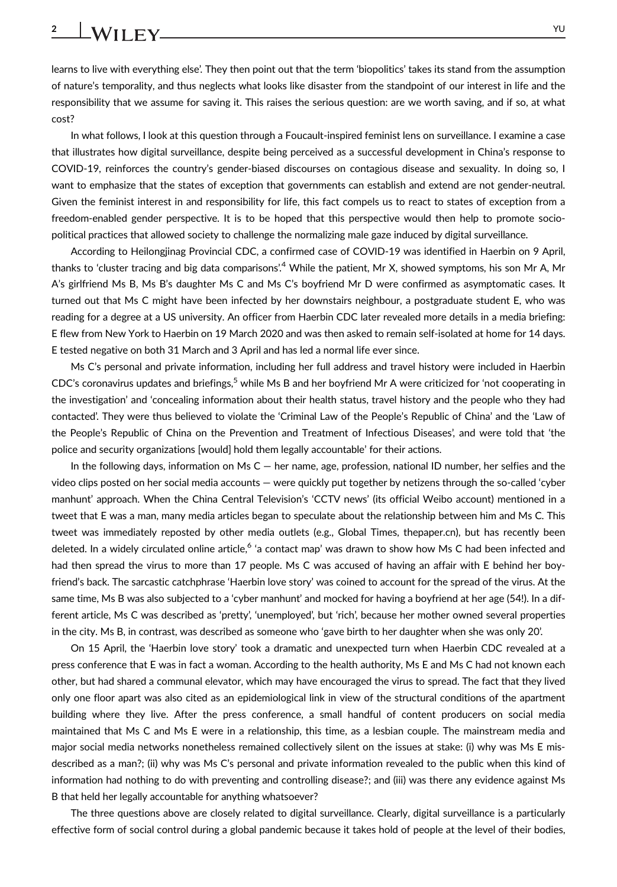learns to live with everything else'. They then point out that the term 'biopolitics' takes its stand from the assumption of nature's temporality, and thus neglects what looks like disaster from the standpoint of our interest in life and the responsibility that we assume for saving it. This raises the serious question: are we worth saving, and if so, at what cost?

In what follows, I look at this question through a Foucault-inspired feminist lens on surveillance. I examine a case that illustrates how digital surveillance, despite being perceived as a successful development in China's response to COVID-19, reinforces the country's gender-biased discourses on contagious disease and sexuality. In doing so, I want to emphasize that the states of exception that governments can establish and extend are not gender-neutral. Given the feminist interest in and responsibility for life, this fact compels us to react to states of exception from a freedom-enabled gender perspective. It is to be hoped that this perspective would then help to promote sociopolitical practices that allowed society to challenge the normalizing male gaze induced by digital surveillance.

According to Heilongjinag Provincial CDC, a confirmed case of COVID-19 was identified in Haerbin on 9 April, thanks to 'cluster tracing and big data comparisons'.<sup>4</sup> While the patient, Mr X, showed symptoms, his son Mr A, Mr A's girlfriend Ms B, Ms B's daughter Ms C and Ms C's boyfriend Mr D were confirmed as asymptomatic cases. It turned out that Ms C might have been infected by her downstairs neighbour, a postgraduate student E, who was reading for a degree at a US university. An officer from Haerbin CDC later revealed more details in a media briefing: E flew from New York to Haerbin on 19 March 2020 and was then asked to remain self-isolated at home for 14 days. E tested negative on both 31 March and 3 April and has led a normal life ever since.

Ms C's personal and private information, including her full address and travel history were included in Haerbin CDC's coronavirus updates and briefings,<sup>5</sup> while Ms B and her boyfriend Mr A were criticized for 'not cooperating in the investigation' and 'concealing information about their health status, travel history and the people who they had contacted'. They were thus believed to violate the 'Criminal Law of the People's Republic of China' and the 'Law of the People's Republic of China on the Prevention and Treatment of Infectious Diseases', and were told that 'the police and security organizations [would] hold them legally accountable' for their actions.

In the following days, information on Ms  $C$  — her name, age, profession, national ID number, her selfies and the video clips posted on her social media accounts — were quickly put together by netizens through the so-called 'cyber manhunt' approach. When the China Central Television's 'CCTV news' (its official Weibo account) mentioned in a tweet that E was a man, many media articles began to speculate about the relationship between him and Ms C. This tweet was immediately reposted by other media outlets (e.g., Global Times, thepaper.cn), but has recently been deleted. In a widely circulated online article,<sup>6</sup> 'a contact map' was drawn to show how Ms C had been infected and had then spread the virus to more than 17 people. Ms C was accused of having an affair with E behind her boyfriend's back. The sarcastic catchphrase 'Haerbin love story' was coined to account for the spread of the virus. At the same time, Ms B was also subjected to a 'cyber manhunt' and mocked for having a boyfriend at her age (54!). In a different article, Ms C was described as 'pretty', 'unemployed', but 'rich', because her mother owned several properties in the city. Ms B, in contrast, was described as someone who 'gave birth to her daughter when she was only 20'.

On 15 April, the 'Haerbin love story' took a dramatic and unexpected turn when Haerbin CDC revealed at a press conference that E was in fact a woman. According to the health authority, Ms E and Ms C had not known each other, but had shared a communal elevator, which may have encouraged the virus to spread. The fact that they lived only one floor apart was also cited as an epidemiological link in view of the structural conditions of the apartment building where they live. After the press conference, a small handful of content producers on social media maintained that Ms C and Ms E were in a relationship, this time, as a lesbian couple. The mainstream media and major social media networks nonetheless remained collectively silent on the issues at stake: (i) why was Ms E misdescribed as a man?; (ii) why was Ms C's personal and private information revealed to the public when this kind of information had nothing to do with preventing and controlling disease?; and (iii) was there any evidence against Ms B that held her legally accountable for anything whatsoever?

The three questions above are closely related to digital surveillance. Clearly, digital surveillance is a particularly effective form of social control during a global pandemic because it takes hold of people at the level of their bodies,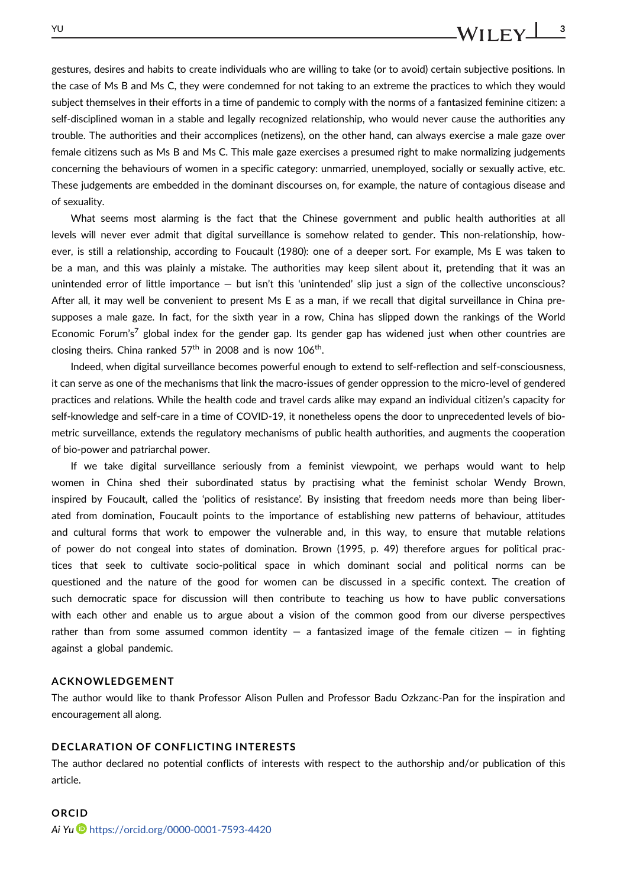## gestures, desires and habits to create individuals who are willing to take (or to avoid) certain subjective positions. In the case of Ms B and Ms C, they were condemned for not taking to an extreme the practices to which they would subject themselves in their efforts in a time of pandemic to comply with the norms of a fantasized feminine citizen: a self-disciplined woman in a stable and legally recognized relationship, who would never cause the authorities any trouble. The authorities and their accomplices (netizens), on the other hand, can always exercise a male gaze over female citizens such as Ms B and Ms C. This male gaze exercises a presumed right to make normalizing judgements concerning the behaviours of women in a specific category: unmarried, unemployed, socially or sexually active, etc. These judgements are embedded in the dominant discourses on, for example, the nature of contagious disease and of sexuality.

What seems most alarming is the fact that the Chinese government and public health authorities at all levels will never ever admit that digital surveillance is somehow related to gender. This non-relationship, however, is still a relationship, according to Foucault (1980): one of a deeper sort. For example, Ms E was taken to be a man, and this was plainly a mistake. The authorities may keep silent about it, pretending that it was an unintended error of little importance — but isn't this 'unintended' slip just a sign of the collective unconscious? After all, it may well be convenient to present Ms E as a man, if we recall that digital surveillance in China presupposes a male gaze. In fact, for the sixth year in a row, China has slipped down the rankings of the World Economic Forum's<sup>7</sup> global index for the gender gap. Its gender gap has widened just when other countries are closing theirs. China ranked  $57<sup>th</sup>$  in 2008 and is now  $106<sup>th</sup>$ .

Indeed, when digital surveillance becomes powerful enough to extend to self-reflection and self-consciousness, it can serve as one of the mechanisms that link the macro-issues of gender oppression to the micro-level of gendered practices and relations. While the health code and travel cards alike may expand an individual citizen's capacity for self-knowledge and self-care in a time of COVID-19, it nonetheless opens the door to unprecedented levels of biometric surveillance, extends the regulatory mechanisms of public health authorities, and augments the cooperation of bio-power and patriarchal power.

If we take digital surveillance seriously from a feminist viewpoint, we perhaps would want to help women in China shed their subordinated status by practising what the feminist scholar Wendy Brown, inspired by Foucault, called the 'politics of resistance'. By insisting that freedom needs more than being liberated from domination, Foucault points to the importance of establishing new patterns of behaviour, attitudes and cultural forms that work to empower the vulnerable and, in this way, to ensure that mutable relations of power do not congeal into states of domination. Brown (1995, p. 49) therefore argues for political practices that seek to cultivate socio-political space in which dominant social and political norms can be questioned and the nature of the good for women can be discussed in a specific context. The creation of such democratic space for discussion will then contribute to teaching us how to have public conversations with each other and enable us to argue about a vision of the common good from our diverse perspectives rather than from some assumed common identity  $-$  a fantasized image of the female citizen  $-$  in fighting against a global pandemic.

#### **ACKNOWLEDGEMENT**

The author would like to thank Professor Alison Pullen and Professor Badu Ozkzanc-Pan for the inspiration and encouragement all along.

### **DECLARATION OF CONFLICTING INTERESTS**

The author declared no potential conflicts of interests with respect to the authorship and/or publication of this article.